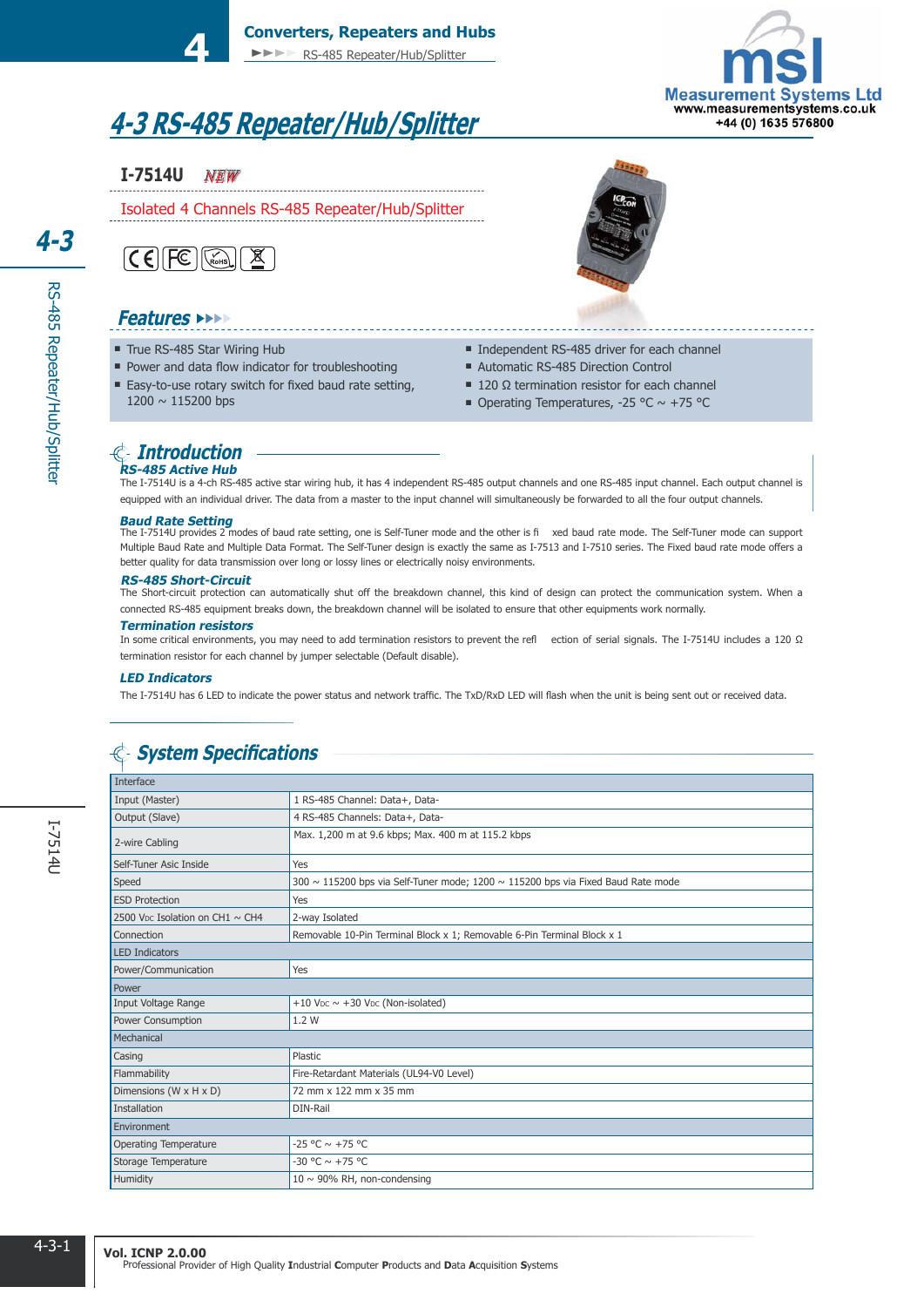# **4-3 RS-485 Repeater/Hub/Splitter**

**Converters, Repeaters and Hubs**

►►►► RS-485 Repeater/Hub/Splitter

### *NEW*

Isolated 4 Channels RS-485 Repeater/Hub/Splitter



**4**

### **Features** ►►►►

- True RS-485 Star Wiring Hub
- **Power and data flow indicator for troubleshooting**
- Easy-to-use rotary switch for fixed baud rate setting, 1200 ~ 115200 bps



- Independent RS-485 driver for each channel
- Automatic RS-485 Direction Control
- $\blacksquare$  120 Ω termination resistor for each channel
- Operating Temperatures, -25 °C  $\sim$  +75 °C

#### **RS-485 Active Hub Introduction**

The I-7514U is a 4-ch RS-485 active star wiring hub, it has 4 independent RS-485 output channels and one RS-485 input channel. Each output channel is equipped with an individual driver. The data from a master to the input channel will simultaneously be forwarded to all the four output channels.

#### **Baud Rate Setting**

The I7514U provides 2 modes of baud rate setting, one is SelfTuner mode and the other is fi xed baud rate mode. The SelfTuner mode can support Multiple Baud Rate and Multiple Data Format. The Self-Tuner design is exactly the same as I-7513 and I-7510 series. The Fixed baud rate mode offers a better quality for data transmission over long or lossy lines or electrically noisy environments.

#### **RS-485 Short-Circuit**

The Short-circuit protection can automatically shut off the breakdown channel, this kind of design can protect the communication system. When a connected RS-485 equipment breaks down, the breakdown channel will be isolated to ensure that other equipments work normally.

#### **Termination resistors**

In some critical environments, you may need to add termination resistors to prevent the refl ection of serial signals. The I7514U includes a 120 Ω termination resistor for each channel by jumper selectable (Default disable).

#### **LED Indicators**

The I-7514U has 6 LED to indicate the power status and network traffic. The TxD/RxD LED will flash when the unit is being sent out or received data.

## $\textcircled{S}$  System Specifications

| Interface                       |                                                                                            |  |  |
|---------------------------------|--------------------------------------------------------------------------------------------|--|--|
| Input (Master)                  | 1 RS-485 Channel: Data+, Data-                                                             |  |  |
| Output (Slave)                  | 4 RS-485 Channels: Data+, Data-                                                            |  |  |
| 2-wire Cabling                  | Max. 1,200 m at 9.6 kbps; Max. 400 m at 115.2 kbps                                         |  |  |
| Self-Tuner Asic Inside          | Yes                                                                                        |  |  |
| Speed                           | 300 $\sim$ 115200 bps via Self-Tuner mode; 1200 $\sim$ 115200 bps via Fixed Baud Rate mode |  |  |
| <b>ESD Protection</b>           | Yes                                                                                        |  |  |
| 2500 Vpc Isolation on CH1 ~ CH4 | 2-way Isolated                                                                             |  |  |
| Connection                      | Removable 10-Pin Terminal Block x 1; Removable 6-Pin Terminal Block x 1                    |  |  |
| <b>LED</b> Indicators           |                                                                                            |  |  |
| Power/Communication             | Yes                                                                                        |  |  |
| Power                           |                                                                                            |  |  |
| Input Voltage Range             | +10 V <sub>DC</sub> $\sim$ +30 V <sub>DC</sub> (Non-isolated)                              |  |  |
| <b>Power Consumption</b>        | 1.2 W                                                                                      |  |  |
| Mechanical                      |                                                                                            |  |  |
| Casing                          | Plastic                                                                                    |  |  |
| Flammability                    | Fire-Retardant Materials (UL94-V0 Level)                                                   |  |  |
| Dimensions (W x H x D)          | 72 mm x 122 mm x 35 mm                                                                     |  |  |
| Installation                    | DIN-Rail                                                                                   |  |  |
| Environment                     |                                                                                            |  |  |
| Operating Temperature           | $-25 °C \sim +75 °C$                                                                       |  |  |
| Storage Temperature             | -30 °C ~ +75 °C                                                                            |  |  |
| Humidity                        | $10 \sim 90\%$ RH, non-condensing                                                          |  |  |

RS-485 Repeater/Hub/Splitter

RS-485 Repeater/Hub/Splitter

**4-3**